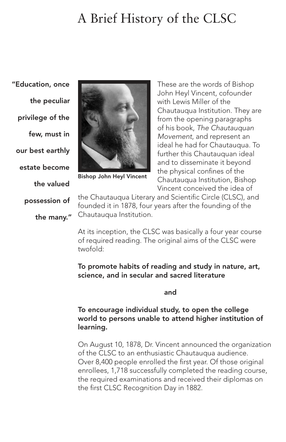# A Brief History of the CLSC

"Education, once the peculiar privilege of the few, must in our best earthly estate become the valued possession of

the many."



Bishop John Heyl Vincent

These are the words of Bishop John Heyl Vincent, cofounder with Lewis Miller of the Chautauqua Institution. They are from the opening paragraphs of his book. The Chautauquan Movement, and represent an ideal he had for Chautauqua. To further this Chautauquan ideal and to disseminate it beyond the physical confines of the Chautauqua Institution, Bishop Vincent conceived the idea of

the Chautauqua Literary and Scientific Circle (CLSC), and founded it in 1878, four years after the founding of the Chautauqua Institution.

At its inception, the CLSC was basically a four year course of required reading. The original aims of the CLSC were twofold:

To promote habits of reading and study in nature, art, science, and in secular and sacred literature

and the contract of the contract of the contract of the contract of the contract of the contract of the contract of the contract of the contract of the contract of the contract of the contract of the contract of the contra

#### To encourage individual study, to open the college world to persons unable to attend higher institution of learning.

On August 10, 1878, Dr. Vincent announced the organization of the CLSC to an enthusiastic Chautauqua audience. Over 8,400 people enrolled the first year. Of those original enrollees, 1,718 successfully completed the reading course, the required examinations and received their diplomas on the first CLSC Recognition Day in 1882.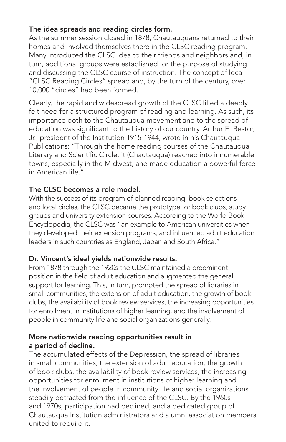## The idea spreads and reading circles form.

As the summer session closed in 1878, Chautauquans returned to their homes and involved themselves there in the CLSC reading program. Many introduced the CLSC idea to their friends and neighbors and, in turn, additional groups were established for the purpose of studying and discussing the CLSC course of instruction. The concept of local "CLSC Reading Circles" spread and, by the turn of the century, over 10,000 "circles" had been formed.

Clearly, the rapid and widespread growth of the CLSC filled a deeply felt need for a structured program of reading and learning. As such, its importance both to the Chautauqua movement and to the spread of education was significant to the history of our country. Arthur E. Bestor, Jr., president of the Institution 1915-1944, wrote in his Chautauqua Publications: "Through the home reading courses of the Chautauqua Literary and Scientific Circle, it (Chautauqua) reached into innumerable towns, especially in the Midwest, and made education a powerful force in American life."

#### The CLSC becomes a role model.

With the success of its program of planned reading, book selections and local circles, the CLSC became the prototype for book clubs, study groups and university extension courses. According to the World Book Encyclopedia, the CLSC was "an example to American universities when they developed their extension programs, and influenced adult education leaders in such countries as England, Japan and South Africa."

## Dr. Vincent's ideal yields nationwide results.

From 1878 through the 1920s the CLSC maintained a preeminent position in the field of adult education and augmented the general support for learning. This, in turn, prompted the spread of libraries in small communities, the extension of adult education, the growth of book clubs, the availability of book review services, the increasing opportunities for enrollment in institutions of higher learning, and the involvement of people in community life and social organizations generally.

#### More nationwide reading opportunities result in a period of decline.

The accumulated effects of the Depression, the spread of libraries in small communities, the extension of adult education, the growth of book clubs, the availability of book review services, the increasing opportunities for enrollment in institutions of higher learning and the involvement of people in community life and social organizations steadily detracted from the influence of the CLSC. By the 1960s and 1970s, participation had declined, and a dedicated group of Chautauqua Institution administrators and alumni association members united to rebuild it.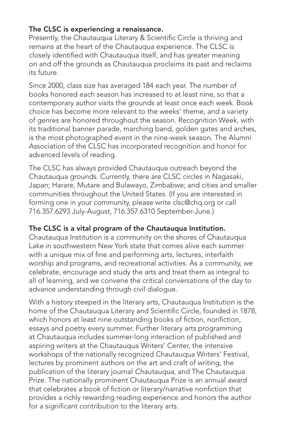#### The CLSC is experiencing a renaissance.

Presently, the Chautauqua Literary & Scientific Circle is thriving and remains at the heart of the Chautauqua experience. The CLSC is closely identified with Chautauqua itself, and has greater meaning on and off the grounds as Chautauqua proclaims its past and reclaims its future.

Since 2000, class size has averaged 184 each year. The number of books honored each season has increased to at least nine, so that a contemporary author visits the grounds at least once each week. Book choice has become more relevant to the weeks' theme, and a variety of genres are honored throughout the season. Recognition Week, with its traditional banner parade, marching band, golden gates and arches, is the most photographed event in the nine-week season. The Alumni Association of the CLSC has incorporated recognition and honor for advanced levels of reading.

The CLSC has always provided Chautauqua outreach beyond the Chautauqua grounds. Currently, there are CLSC circles in Nagasaki, Japan; Harare, Mutare and Bulawayo, Zimbabwe; and cities and smaller communities throughout the United States. (If you are interested in forming one in your community, please write clsc@chq.org or call 716.357.6293 July-August, 716.357.6310 September-June.)

## The CLSC is a vital program of the Chautauqua Institution.

Chautauqua Institution is a community on the shores of Chautauqua Lake in southwestern New York state that comes alive each summer with a unique mix of fine and performing arts, lectures, interfaith worship and programs, and recreational activities. As a community, we celebrate, encourage and study the arts and treat them as integral to all of learning, and we convene the critical conversations of the day to advance understanding through civil dialogue.

With a history steeped in the literary arts, Chautauqua Institution is the home of the Chautauqua Literary and Scientific Circle, founded in 1878, which honors at least nine outstanding books of fiction, nonfiction, essays and poetry every summer. Further literary arts programming at Chautauqua includes summer-long interaction of published and aspiring writers at the Chautauqua Writers' Center, the intensive workshops of the nationally recognized Chautauqua Writers' Festival, lectures by prominent authors on the art and craft of writing, the publication of the literary journal Chautauqua, and The Chautauqua Prize. The nationally prominent Chautauqua Prize is an annual award that celebrates a book of fiction or literary/narrative nonfiction that provides a richly rewarding reading experience and honors the author for a significant contribution to the literary arts.